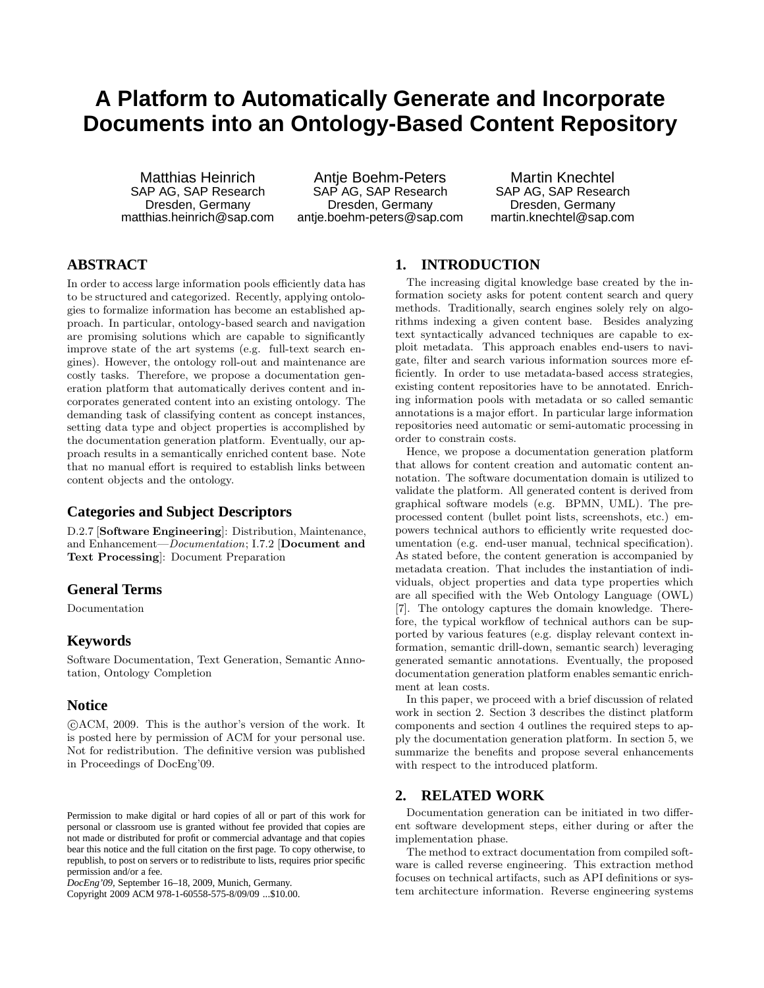# **A Platform to Automatically Generate and Incorporate Documents into an Ontology-Based Content Repository**

Matthias Heinrich SAP AG, SAP Research Dresden, Germany matthias.heinrich@sap.com

Antie Boehm-Peters SAP AG, SAP Research Dresden, Germany antje.boehm-peters@sap.com

Martin Knechtel SAP AG, SAP Research Dresden, Germany martin.knechtel@sap.com

# **ABSTRACT**

In order to access large information pools efficiently data has to be structured and categorized. Recently, applying ontologies to formalize information has become an established approach. In particular, ontology-based search and navigation are promising solutions which are capable to significantly improve state of the art systems (e.g. full-text search engines). However, the ontology roll-out and maintenance are costly tasks. Therefore, we propose a documentation generation platform that automatically derives content and incorporates generated content into an existing ontology. The demanding task of classifying content as concept instances, setting data type and object properties is accomplished by the documentation generation platform. Eventually, our approach results in a semantically enriched content base. Note that no manual effort is required to establish links between content objects and the ontology.

#### **Categories and Subject Descriptors**

D.2.7 [Software Engineering]: Distribution, Maintenance, and Enhancement—Documentation; I.7.2 [Document and Text Processing]: Document Preparation

## **General Terms**

Documentation

#### **Keywords**

Software Documentation, Text Generation, Semantic Annotation, Ontology Completion

#### **Notice**

 c ACM, 2009. This is the author's version of the work. It is posted here by permission of ACM for your personal use. Not for redistribution. The definitive version was published in Proceedings of DocEng'09.

Copyright 2009 ACM 978-1-60558-575-8/09/09 ...\$10.00.

## **1. INTRODUCTION**

The increasing digital knowledge base created by the information society asks for potent content search and query methods. Traditionally, search engines solely rely on algorithms indexing a given content base. Besides analyzing text syntactically advanced techniques are capable to exploit metadata. This approach enables end-users to navigate, filter and search various information sources more efficiently. In order to use metadata-based access strategies, existing content repositories have to be annotated. Enriching information pools with metadata or so called semantic annotations is a major effort. In particular large information repositories need automatic or semi-automatic processing in order to constrain costs.

Hence, we propose a documentation generation platform that allows for content creation and automatic content annotation. The software documentation domain is utilized to validate the platform. All generated content is derived from graphical software models (e.g. BPMN, UML). The preprocessed content (bullet point lists, screenshots, etc.) empowers technical authors to efficiently write requested documentation (e.g. end-user manual, technical specification). As stated before, the content generation is accompanied by metadata creation. That includes the instantiation of individuals, object properties and data type properties which are all specified with the Web Ontology Language (OWL) [7]. The ontology captures the domain knowledge. Therefore, the typical workflow of technical authors can be supported by various features (e.g. display relevant context information, semantic drill-down, semantic search) leveraging generated semantic annotations. Eventually, the proposed documentation generation platform enables semantic enrichment at lean costs.

In this paper, we proceed with a brief discussion of related work in section 2. Section 3 describes the distinct platform components and section 4 outlines the required steps to apply the documentation generation platform. In section 5, we summarize the benefits and propose several enhancements with respect to the introduced platform.

#### **2. RELATED WORK**

Documentation generation can be initiated in two different software development steps, either during or after the implementation phase.

The method to extract documentation from compiled software is called reverse engineering. This extraction method focuses on technical artifacts, such as API definitions or system architecture information. Reverse engineering systems

Permission to make digital or hard copies of all or part of this work for personal or classroom use is granted without fee provided that copies are not made or distributed for profit or commercial advantage and that copies bear this notice and the full citation on the first page. To copy otherwise, to republish, to post on servers or to redistribute to lists, requires prior specific permission and/or a fee.

*DocEng'09,* September 16–18, 2009, Munich, Germany.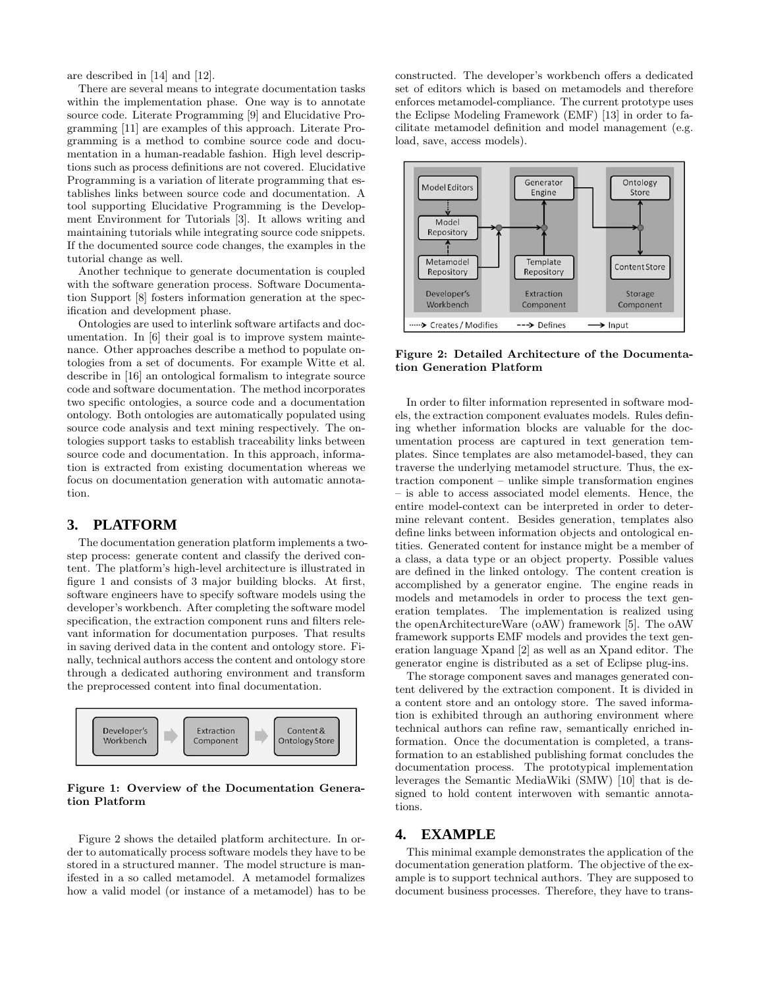are described in [14] and [12].

There are several means to integrate documentation tasks within the implementation phase. One way is to annotate source code. Literate Programming [9] and Elucidative Programming [11] are examples of this approach. Literate Programming is a method to combine source code and documentation in a human-readable fashion. High level descriptions such as process definitions are not covered. Elucidative Programming is a variation of literate programming that establishes links between source code and documentation. A tool supporting Elucidative Programming is the Development Environment for Tutorials [3]. It allows writing and maintaining tutorials while integrating source code snippets. If the documented source code changes, the examples in the tutorial change as well.

Another technique to generate documentation is coupled with the software generation process. Software Documentation Support [8] fosters information generation at the specification and development phase.

Ontologies are used to interlink software artifacts and documentation. In [6] their goal is to improve system maintenance. Other approaches describe a method to populate ontologies from a set of documents. For example Witte et al. describe in [16] an ontological formalism to integrate source code and software documentation. The method incorporates two specific ontologies, a source code and a documentation ontology. Both ontologies are automatically populated using source code analysis and text mining respectively. The ontologies support tasks to establish traceability links between source code and documentation. In this approach, information is extracted from existing documentation whereas we focus on documentation generation with automatic annotation.

#### **3. PLATFORM**

The documentation generation platform implements a twostep process: generate content and classify the derived content. The platform's high-level architecture is illustrated in figure 1 and consists of 3 major building blocks. At first, software engineers have to specify software models using the developer's workbench. After completing the software model specification, the extraction component runs and filters relevant information for documentation purposes. That results in saving derived data in the content and ontology store. Finally, technical authors access the content and ontology store through a dedicated authoring environment and transform the preprocessed content into final documentation.



#### Figure 1: Overview of the Documentation Generation Platform

Figure 2 shows the detailed platform architecture. In order to automatically process software models they have to be stored in a structured manner. The model structure is manifested in a so called metamodel. A metamodel formalizes how a valid model (or instance of a metamodel) has to be

constructed. The developer's workbench offers a dedicated set of editors which is based on metamodels and therefore enforces metamodel-compliance. The current prototype uses the Eclipse Modeling Framework (EMF) [13] in order to facilitate metamodel definition and model management (e.g. load, save, access models).



Figure 2: Detailed Architecture of the Documentation Generation Platform

In order to filter information represented in software models, the extraction component evaluates models. Rules defining whether information blocks are valuable for the documentation process are captured in text generation templates. Since templates are also metamodel-based, they can traverse the underlying metamodel structure. Thus, the extraction component – unlike simple transformation engines – is able to access associated model elements. Hence, the entire model-context can be interpreted in order to determine relevant content. Besides generation, templates also define links between information objects and ontological entities. Generated content for instance might be a member of a class, a data type or an object property. Possible values are defined in the linked ontology. The content creation is accomplished by a generator engine. The engine reads in models and metamodels in order to process the text generation templates. The implementation is realized using the openArchitectureWare (oAW) framework [5]. The oAW framework supports EMF models and provides the text generation language Xpand [2] as well as an Xpand editor. The generator engine is distributed as a set of Eclipse plug-ins.

The storage component saves and manages generated content delivered by the extraction component. It is divided in a content store and an ontology store. The saved information is exhibited through an authoring environment where technical authors can refine raw, semantically enriched information. Once the documentation is completed, a transformation to an established publishing format concludes the documentation process. The prototypical implementation leverages the Semantic MediaWiki (SMW) [10] that is designed to hold content interwoven with semantic annotations.

## **4. EXAMPLE**

This minimal example demonstrates the application of the documentation generation platform. The objective of the example is to support technical authors. They are supposed to document business processes. Therefore, they have to trans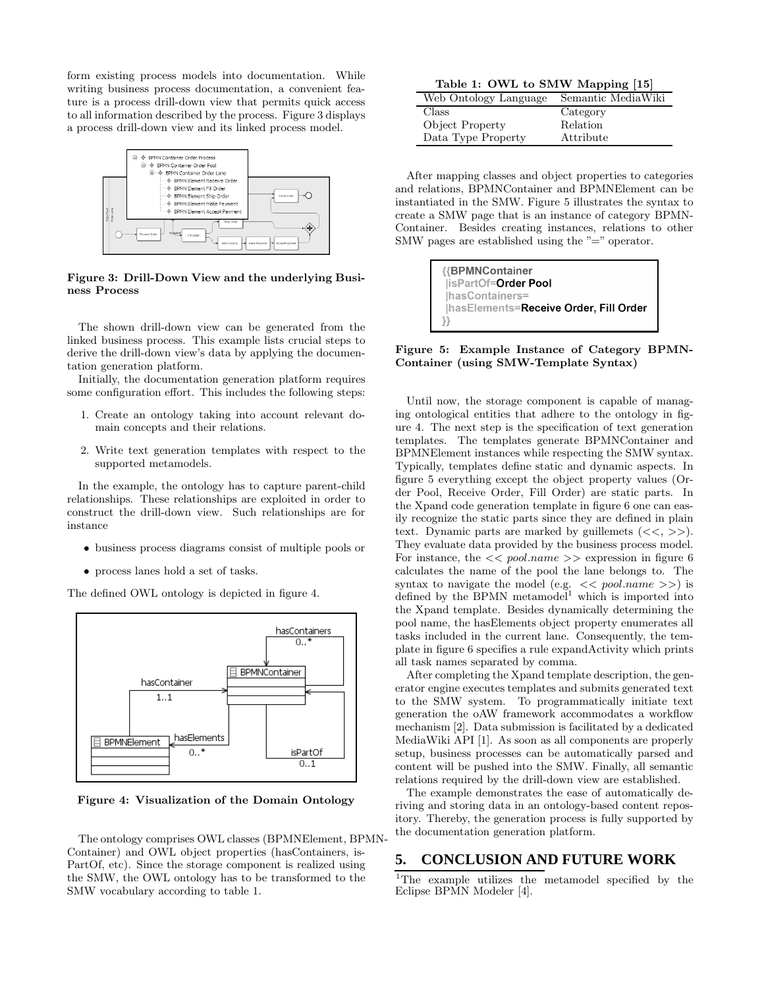form existing process models into documentation. While writing business process documentation, a convenient feature is a process drill-down view that permits quick access to all information described by the process. Figure 3 displays a process drill-down view and its linked process model.



Figure 3: Drill-Down View and the underlying Business Process

The shown drill-down view can be generated from the linked business process. This example lists crucial steps to derive the drill-down view's data by applying the documentation generation platform.

Initially, the documentation generation platform requires some configuration effort. This includes the following steps:

- 1. Create an ontology taking into account relevant domain concepts and their relations.
- 2. Write text generation templates with respect to the supported metamodels.

In the example, the ontology has to capture parent-child relationships. These relationships are exploited in order to construct the drill-down view. Such relationships are for instance

- business process diagrams consist of multiple pools or
- process lanes hold a set of tasks.

The defined OWL ontology is depicted in figure 4.



Figure 4: Visualization of the Domain Ontology

The ontology comprises OWL classes (BPMNElement, BPMN-Container) and OWL object properties (hasContainers, is-PartOf, etc). Since the storage component is realized using the SMW, the OWL ontology has to be transformed to the SMW vocabulary according to table 1.

Table 1: OWL to SMW Mapping [15]

| Web Ontology Language | Semantic MediaWiki |
|-----------------------|--------------------|
| Class                 | Category           |
| Object Property       | Relation           |
| Data Type Property    | Attribute          |

After mapping classes and object properties to categories and relations, BPMNContainer and BPMNElement can be instantiated in the SMW. Figure 5 illustrates the syntax to create a SMW page that is an instance of category BPMN-Container. Besides creating instances, relations to other SMW pages are established using the "=" operator.



Figure 5: Example Instance of Category BPMN-Container (using SMW-Template Syntax)

Until now, the storage component is capable of managing ontological entities that adhere to the ontology in figure 4. The next step is the specification of text generation templates. The templates generate BPMNContainer and BPMNElement instances while respecting the SMW syntax. Typically, templates define static and dynamic aspects. In figure 5 everything except the object property values (Order Pool, Receive Order, Fill Order) are static parts. In the Xpand code generation template in figure 6 one can easily recognize the static parts since they are defined in plain text. Dynamic parts are marked by guillemets  $(<, >).$ They evaluate data provided by the business process model. For instance, the  $<< pool.name$  expression in figure 6 calculates the name of the pool the lane belongs to. The syntax to navigate the model (e.g.  $<< pool.name$ ) is defined by the BPMN metamodel $^1$  which is imported into the Xpand template. Besides dynamically determining the pool name, the hasElements object property enumerates all tasks included in the current lane. Consequently, the template in figure 6 specifies a rule expandActivity which prints all task names separated by comma.

After completing the Xpand template description, the generator engine executes templates and submits generated text to the SMW system. To programmatically initiate text generation the oAW framework accommodates a workflow mechanism [2]. Data submission is facilitated by a dedicated MediaWiki API [1]. As soon as all components are properly setup, business processes can be automatically parsed and content will be pushed into the SMW. Finally, all semantic relations required by the drill-down view are established.

The example demonstrates the ease of automatically deriving and storing data in an ontology-based content repository. Thereby, the generation process is fully supported by the documentation generation platform.

#### **5. CONCLUSION AND FUTURE WORK**

<sup>1</sup>The example utilizes the metamodel specified by the Eclipse BPMN Modeler [4].